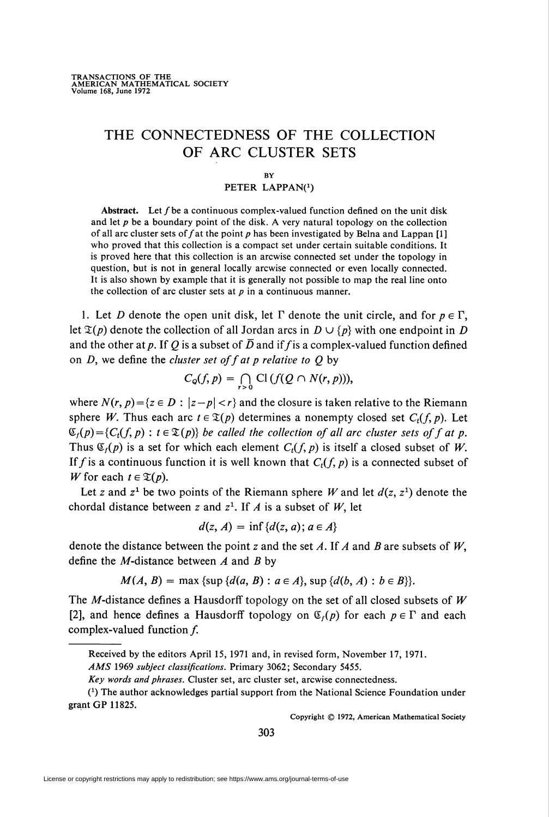# THE CONNECTEDNESS OF THE COLLECTION OF ARC CLUSTER SETS

#### **BY**

#### PETER LAPPAN(1)

Abstract. Let  $f$  be a continuous complex-valued function defined on the unit disk and let  $p$  be a boundary point of the disk. A very natural topology on the collection of all arc cluster sets of  $f$  at the point  $p$  has been investigated by Belna and Lappan [1] who proved that this collection is a compact set under certain suitable conditions. It is proved here that this collection is an arcwise connected set under the topology in question, but is not in general locally arcwise connected or even locally connected. It is also shown by example that it is generally not possible to map the real line onto the collection of arc cluster sets at  $p$  in a continuous manner.

1. Let D denote the open unit disk, let  $\Gamma$  denote the unit circle, and for  $p \in \Gamma$ , let  $\mathfrak{T}(p)$  denote the collection of all Jordan arcs in  $D \cup \{p\}$  with one endpoint in D and the other at p. If Q is a subset of  $\overline{D}$  and if f is a complex-valued function defined on  $D$ , we define the *cluster set of f at p relative to*  $Q$  by

$$
C_{\mathcal{Q}}(f,p)=\bigcap_{r>0}\mathrm{Cl}\,(f(Q\cap N(r,p))),
$$

where  $N(r, p) = \{z \in D : |z-p| < r\}$  and the closure is taken relative to the Riemann sphere W. Thus each arc  $t \in \mathfrak{T}(p)$  determines a nonempty closed set  $C_t(f, p)$ . Let  $\mathfrak{C}_t(p) = \{C_t(f, p) : t \in \mathfrak{X}(p)\}\$ be called the collection of all arc cluster sets of f at p. Thus  $\mathfrak{C}_f(p)$  is a set for which each element  $C_t(f, p)$  is itself a closed subset of W. If f is a continuous function it is well known that  $C_t(f, p)$  is a connected subset of W for each  $t \in \mathfrak{T}(p)$ .

Let z and  $z^1$  be two points of the Riemann sphere W and let  $d(z, z^1)$  denote the chordal distance between z and  $z^1$ . If A is a subset of W, let

$$
d(z, A) = \inf \{d(z, a); a \in A\}
$$

denote the distance between the point z and the set A. If A and B are subsets of  $W$ , define the *M*-distance between  $A$  and  $B$  by

 $M(A, B) = \max \{\sup \{d(a, B) : a \in A\}, \sup \{d(b, A) : b \in B\}\}.$ 

The M-distance defines a Hausdorff topology on the set of all closed subsets of  $W$ [2], and hence defines a Hausdorff topology on  $\mathfrak{C}_r(p)$  for each  $p \in \Gamma$  and each complex-valued function  $f$ .

Copyright © 1972, American Mathematical Society

\_

Received by the editors April 15, 1971 and, in revised form, November 17, 1971.

AMS 1969 subject classifications. Primary 3062; Secondary 5455.

Key words and phrases. Cluster set, arc cluster set, arcwise connectedness.

<sup>(\*)</sup> The author acknowledges partial support from the National Science Foundation under grant GP 11825.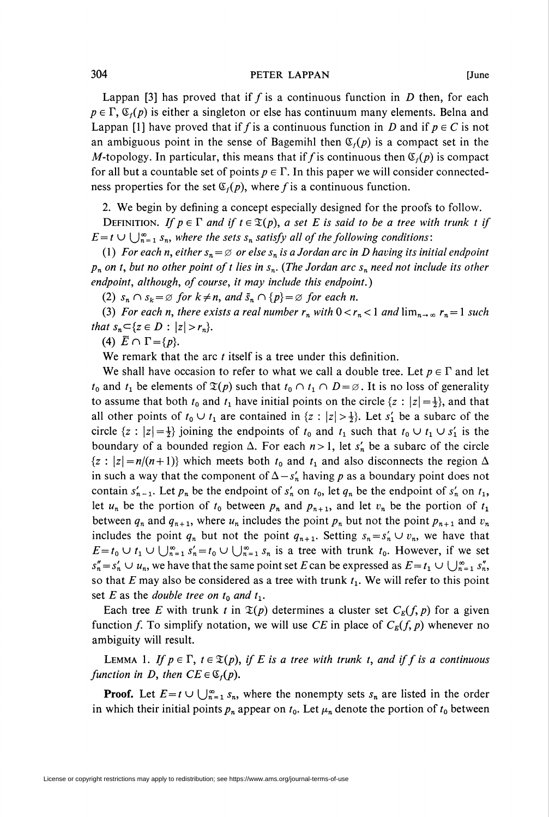Lappan [3] has proved that if f is a continuous function in D then, for each  $p \in \Gamma$ ,  $\mathfrak{C}_f(p)$  is either a singleton or else has continuum many elements. Belna and Lappan [1] have proved that if f is a continuous function in D and if  $p \in C$  is not an ambiguous point in the sense of Bagemihl then  $\mathfrak{C}_f(p)$  is a compact set in the M-topology. In particular, this means that if f is continuous then  $\mathfrak{C}_f(p)$  is compact for all but a countable set of points  $p \in \Gamma$ . In this paper we will consider connectedness properties for the set  $\mathfrak{C}_i(p)$ , where f is a continuous function.

2. We begin by defining a concept especially designed for the proofs to follow.

DEFINITION. If  $p \in \Gamma$  and if  $t \in \mathfrak{T}(p)$ , a set E is said to be a tree with trunk t if  $E=t \cup \bigcup_{n=1}^{\infty} S_n$ , where the sets  $S_n$  satisfy all of the following conditions:

(1) For each n, either  $s_n = \emptyset$  or else  $s_n$  is a Jordan arc in D having its initial endpoint  $p_n$  on t, but no other point of t lies in  $s_n$ . (The Jordan arc  $s_n$  need not include its other endpoint, although, of course, it may include this endpoint.)

(2)  $s_n \cap s_k = \emptyset$  for  $k \neq n$ , and  $\bar{s}_n \cap {p} = \emptyset$  for each n.

(3) For each n, there exists a real number  $r_n$  with  $0 < r_n < 1$  and  $\lim_{n \to \infty} r_n = 1$  such that  $s_n \subset \{ z \in D : |z| > r_n \}.$ 

(4)  $\overline{E} \cap \Gamma = \{p\}.$ 

We remark that the arc  $t$  itself is a tree under this definition.

We shall have occasion to refer to what we call a double tree. Let  $p \in \Gamma$  and let  $t_0$  and  $t_1$  be elements of  $\mathfrak{T}(p)$  such that  $t_0 \cap t_1 \cap D = \emptyset$ . It is no loss of generality to assume that both  $t_0$  and  $t_1$  have initial points on the circle  $\{z : |z| = \frac{1}{2}\}$ , and that all other points of  $t_0 \cup t_1$  are contained in  $\{z : |z| > \frac{1}{2}\}$ . Let  $s'_1$  be a subarc of the circle  $\{z : |z| = \frac{1}{2}\}$  joining the endpoints of  $t_0$  and  $t_1$  such that  $t_0 \cup t_1 \cup s'_1$  is the boundary of a bounded region  $\Delta$ . For each  $n>1$ , let  $s'_n$  be a subarc of the circle  ${z : |z| = n/(n+1)}$  which meets both  $t_0$  and  $t_1$  and also disconnects the region  $\Delta$ in such a way that the component of  $\Delta - s'_n$  having p as a boundary point does not contain  $s'_{n-1}$ . Let  $p_n$  be the endpoint of  $s'_n$  on  $t_0$ , let  $q_n$  be the endpoint of  $s'_n$  on  $t_1$ , let  $u_n$  be the portion of  $t_0$  between  $p_n$  and  $p_{n+1}$ , and let  $v_n$  be the portion of  $t_1$ between  $q_n$  and  $q_{n+1}$ , where  $u_n$  includes the point  $p_n$  but not the point  $p_{n+1}$  and  $v_n$ includes the point  $q_n$  but not the point  $q_{n+1}$ . Setting  $s_n = s'_n \cup v_n$ , we have that  $E=t_0 \cup t_1 \cup \bigcup_{n=1}^{\infty} s'_n = t_0 \cup \bigcup_{n=1}^{\infty} s_n$  is a tree with trunk  $t_0$ . However, if we set  $s''_n=s'_n \cup u_n$ , we have that the same point set E can be expressed as  $E=t_1 \cup \bigcup_{n=1}^{\infty} s''_n$ , so that E may also be considered as a tree with trunk  $t<sub>1</sub>$ . We will refer to this point set E as the double tree on  $t_0$  and  $t_1$ .

Each tree E with trunk t in  $\mathfrak{T}(p)$  determines a cluster set  $C_E(f, p)$  for a given function f. To simplify notation, we will use CE in place of  $C_E(f, p)$  whenever no ambiguity will result.

LEMMA 1. If  $p \in \Gamma$ ,  $t \in \mathfrak{T}(p)$ , if E is a tree with trunk t, and if f is a continuous function in D, then  $CE \in \mathfrak{C}_f(p)$ .

**Proof.** Let  $E=t \cup \bigcup_{n=1}^{\infty} s_n$ , where the nonempty sets  $s_n$  are listed in the order in which their initial points  $p_n$  appear on  $t_0$ . Let  $\mu_n$  denote the portion of  $t_0$  between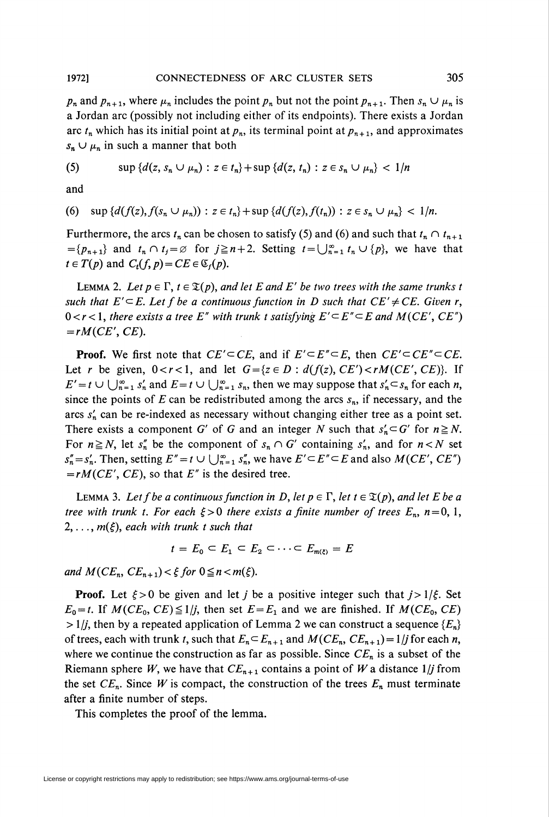$p_n$  and  $p_{n+1}$ , where  $\mu_n$  includes the point  $p_n$  but not the point  $p_{n+1}$ . Then  $s_n \cup \mu_n$  is a lordan arc (possibly not including either of its endpoints). There exists a Jordan arc  $t_n$  which has its initial point at  $p_n$ , its terminal point at  $p_{n+1}$ , and approximates  $s_n \cup \mu_n$  in such a manner that both

(5) 
$$
\sup \{d(z, s_n \cup \mu_n) : z \in t_n\} + \sup \{d(z, t_n) : z \in s_n \cup \mu_n\} < 1/n
$$

and

(6) 
$$
\sup \{d(f(z), f(s_n \cup \mu_n)) : z \in t_n\} + \sup \{d(f(z), f(t_n)) : z \in s_n \cup \mu_n\} < 1/n.
$$

Furthermore, the arcs  $t_n$  can be chosen to satisfy (5) and (6) and such that  $t_n \cap t_{n+1}$  $=\{p_{n+1}\}\$  and  $t_n \cap t_j = \emptyset$  for  $j \geq n+2$ . Setting  $t = \bigcup_{n=1}^{\infty} t_n \cup {p}$ , we have that  $t \in T(p)$  and  $C_t(f, p) = CE \in \mathfrak{C}_f(p)$ .

LEMMA 2. Let  $p \in \Gamma$ ,  $t \in \mathfrak{T}(p)$ , and let E and E' be two trees with the same trunks t such that  $E' \subseteq E$ . Let f be a continuous function in D such that  $CE' \neq CE$ . Given r,  $0 < r < 1$ , there exists a tree E" with trunk t satisfying  $E' \subseteq E'' \subseteq E$  and  $M(CE', CE'')$  $=rM(CE', CE).$ 

**Proof.** We first note that  $CE' \subseteq CE$ , and if  $E' \subseteq E'' \subseteq E$ , then  $CE' \subseteq CE'' \subseteq CE$ . Let r be given,  $0 < r < 1$ , and let  $G = \{z \in D : d(f(z), CE') < rM(CE', CE)\}$ . If  $E' = t \cup \bigcup_{n=1}^{\infty} s'_n$  and  $E = t \cup \bigcup_{n=1}^{\infty} s_n$ , then we may suppose that  $s'_n \subset s_n$  for each n, since the points of E can be redistributed among the arcs  $s_n$ , if necessary, and the arcs  $s'_n$  can be re-indexed as necessary without changing either tree as a point set. There exists a component G' of G and an integer N such that  $s'_n \subset G'$  for  $n \ge N$ . For  $n \ge N$ , let  $s_n^{\prime\prime}$  be the component of  $s_n \cap G'$  containing  $s_n$ , and for  $n < N$  set  $s''_n = s'_n$ . Then, setting  $E'' = t \cup \bigcup_{n=1}^{\infty} s''_n$ , we have  $E' \subseteq E'' \subseteq E$  and also  $M(CE', CE'')$  $=rM(CE', CE)$ , so that E'' is the desired tree.

LEMMA 3. Let f be a continuous function in D, let  $p \in \Gamma$ , let  $t \in \mathfrak{T}(p)$ , and let E be a tree with trunk t. For each  $\xi > 0$  there exists a finite number of trees  $E_n$ ,  $n = 0, 1$ ,  $2, \ldots, m(\xi)$ , each with trunk t such that

$$
t=E_0\subset E_1\subset E_2\subset\cdots\subset E_{m(z)}=E
$$

and  $M(CE_n, CE_{n+1}) < \xi$  for  $0 \le n < m(\xi)$ .

**Proof.** Let  $\xi > 0$  be given and let j be a positive integer such that  $j > 1/\xi$ . Set  $E_0 = t$ . If  $M(CE_0, CE) \leq 1/j$ , then set  $E=E_1$  and we are finished. If  $M(CE_0, CE)$  $> 1/j$ , then by a repeated application of Lemma 2 we can construct a sequence { $E_n$ } of trees, each with trunk t, such that  $E_n \subseteq E_{n+1}$  and  $M(CE_n, CE_{n+1}) = 1/j$  for each n, where we continue the construction as far as possible. Since  $CE_n$  is a subset of the Riemann sphere W, we have that  $CE_{n+1}$  contains a point of W a distance 1/*j* from the set  $CE_n$ . Since W is compact, the construction of the trees  $E_n$  must terminate after a finite number of steps.

This completes the proof of the lemma.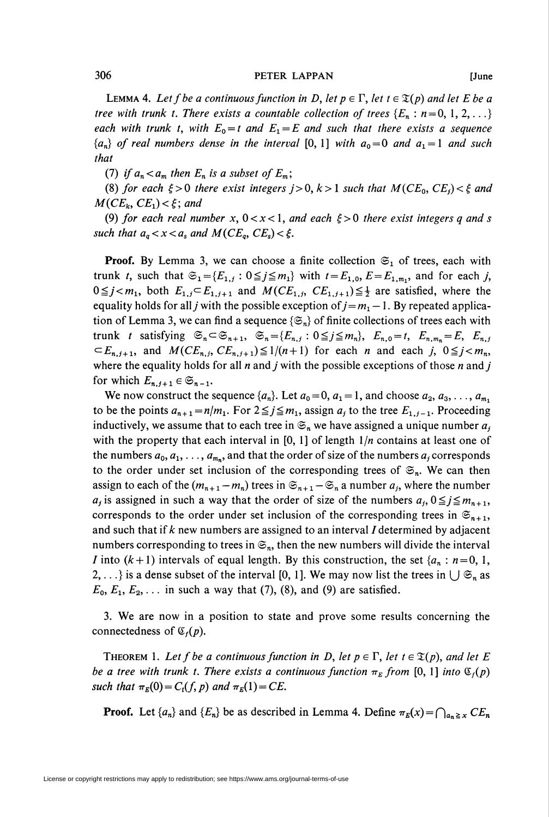#### 306 PETER LAPPAN [June

LEMMA 4. Let f be a continuous function in D, let  $p \in \Gamma$ , let  $t \in \mathfrak{T}(p)$  and let E be a tree with trunk t. There exists a countable collection of trees  $\{E_n : n = 0, 1, 2, ...\}$ each with trunk t, with  $E_0 = t$  and  $E_1 = E$  and such that there exists a sequence  ${a_n}$  of real numbers dense in the interval [0, 1] with  $a_0=0$  and  $a_1=1$  and such that

(7) if  $a_n < a_m$  then  $E_n$  is a subset of  $E_m$ ;

(8) for each  $\xi > 0$  there exist integers  $j > 0$ ,  $k > 1$  such that  $M(CE_0, CE_j) < \xi$  and  $M(CE_k, CE_1) < \xi$ ; and

(9) for each real number x,  $0 < x < 1$ , and each  $\xi > 0$  there exist integers q and s such that  $a_q < x < a_s$  and  $M(CE_q, CE_s) < \xi$ .

**Proof.** By Lemma 3, we can choose a finite collection  $\mathfrak{S}_1$  of trees, each with trunk t, such that  $\mathfrak{S}_1 = \{E_{1,j} : 0 \leq j \leq m_1\}$  with  $t = E_{1,0}, E = E_{1,m_1}$ , and for each j,  $0 \leq j < m_1$ , both  $E_{1,j} \subset E_{1,j+1}$  and  $M(CE_{1,j}, CE_{1,j+1}) \leq \frac{1}{2}$  are satisfied, where the equality holds for all *j* with the possible exception of  $j=m_1-1$ . By repeated application of Lemma 3, we can find a sequence  $\{\mathfrak{S}_n\}$  of finite collections of trees each with trunk t satisfying  $\mathfrak{S}_n \subset \mathfrak{S}_{n+1}$ ,  $\mathfrak{S}_n = \{E_{n,j} : 0 \leq j \leq m_n\}$ ,  $E_{n,0} = t$ ,  $E_{n,m_n} = E$ ,  $E_{n,j}$  $\subset E_{n,j+1}$ , and  $M(CE_{n,j}, CE_{n,j+1}) \leq 1/(n+1)$  for each n and each j,  $0 \leq j < m_n$ , where the equality holds for all n and j with the possible exceptions of those n and j for which  $E_{n,j+1} \in \mathfrak{S}_{n-1}$ .

We now construct the sequence  $\{a_n\}$ . Let  $a_0 = 0$ ,  $a_1 = 1$ , and choose  $a_2, a_3, \ldots, a_{m_1}$ to be the points  $a_{n+1}=n/m_1$ . For  $2\leq j\leq m_1$ , assign  $a_j$  to the tree  $E_{1,j-1}$ . Proceeding inductively, we assume that to each tree in  $\mathfrak{S}_n$  we have assigned a unique number  $a_i$ with the property that each interval in  $[0, 1]$  of length  $1/n$  contains at least one of the numbers  $a_0, a_1, \ldots, a_{m_n}$ , and that the order of size of the numbers  $a_j$  corresponds to the order under set inclusion of the corresponding trees of  $\mathfrak{S}_n$ . We can then assign to each of the  $(m_{n+1} - m_n)$  trees in  $\mathfrak{S}_{n+1} - \mathfrak{S}_n$  a number  $a_i$ , where the number  $a_j$  is assigned in such a way that the order of size of the numbers  $a_i$ ,  $0 \le j \le m_{n+1}$ , corresponds to the order under set inclusion of the corresponding trees in  $\mathfrak{S}_{n+1}$ , and such that if  $k$  new numbers are assigned to an interval  $I$  determined by adjacent numbers corresponding to trees in  $\mathfrak{S}_n$ , then the new numbers will divide the interval *I* into  $(k+1)$  intervals of equal length. By this construction, the set  $\{a_n : n = 0, 1, \ldots, n\}$ 2,...} is a dense subset of the interval [0, 1]. We may now list the trees in  $\bigcup \mathfrak{S}_n$  as  $E_0, E_1, E_2, \ldots$  in such a way that (7), (8), and (9) are satisfied.

3. We are now in a position to state and prove some results concerning the connectedness of  $\mathfrak{C}_f(p)$ .

THEOREM 1. Let f be a continuous function in D, let  $p \in \Gamma$ , let  $t \in \mathfrak{T}(p)$ , and let E be a tree with trunk t. There exists a continuous function  $\pi_E$  from [0, 1] into  $\mathfrak{C}_f(p)$ such that  $\pi_E(0) = C_t(f, p)$  and  $\pi_E(1) = CE$ .

**Proof.** Let  $\{a_n\}$  and  $\{E_n\}$  be as described in Lemma 4. Define  $\pi_E(x) = \bigcap_{a_n \ge x} CE_n$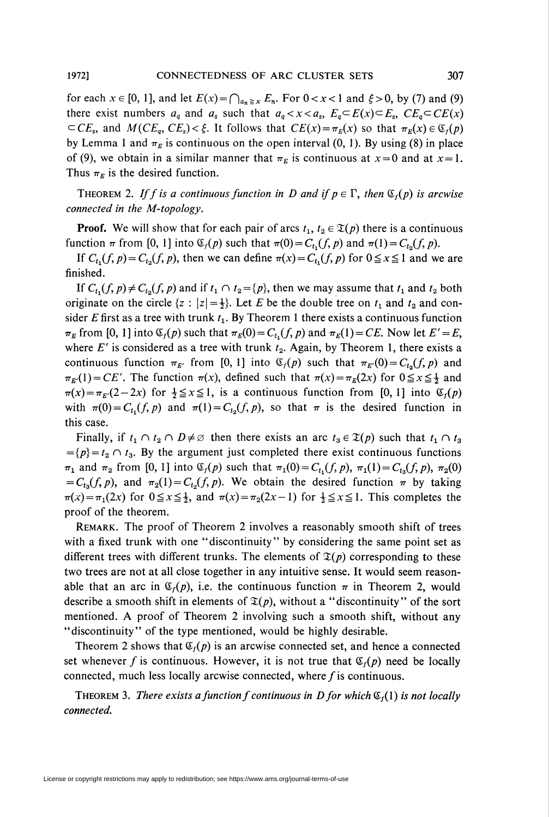for each  $x \in [0, 1]$ , and let  $E(x) = \bigcap_{a_n \ge x} E_n$ . For  $0 < x < 1$  and  $\xi > 0$ , by (7) and (9) there exist numbers  $a_q$  and  $a_s$  such that  $a_q < x < a_s$ ,  $E_q \subset E(x) \subset E_s$ ,  $CE_q \subset CE(x)$  $\subset CE_s$ , and  $M(CE_q, CE_s) < \xi$ . It follows that  $CE(x) = \pi_E(x)$  so that  $\pi_E(x) \in \mathfrak{C}_f(p)$ by Lemma 1 and  $\pi_E$  is continuous on the open interval (0, 1). By using (8) in place of (9), we obtain in a similar manner that  $\pi_E$  is continuous at  $x = 0$  and at  $x = 1$ . Thus  $\pi_E$  is the desired function.

THEOREM 2. If f is a continuous function in D and if  $p \in \Gamma$ , then  $\mathfrak{S}_f(p)$  is arcwise connected in the M-topology.

**Proof.** We will show that for each pair of arcs  $t_1, t_2 \in \mathcal{X}(p)$  there is a continuous function  $\pi$  from [0, 1] into  $\mathfrak{C}_f(p)$  such that  $\pi(0) = C_{t_1}(f, p)$  and  $\pi(1) = C_{t_2}(f, p)$ .

If  $C_{t_1}(f, p) = C_{t_2}(f, p)$ , then we can define  $\pi(x) = C_{t_1}(f, p)$  for  $0 \le x \le 1$  and we are finished.

If  $C_{t_1}(f, p) \neq C_{t_2}(f, p)$  and if  $t_1 \cap t_2 = \{p\}$ , then we may assume that  $t_1$  and  $t_2$  both originate on the circle  $\{z : |z| = \frac{1}{2}\}$ . Let E be the double tree on  $t_1$  and  $t_2$  and consider E first as a tree with trunk  $t_1$ . By Theorem 1 there exists a continuous function  $\pi_E$  from [0, 1] into  $\mathfrak{C}_f(p)$  such that  $\pi_E(0) = C_{t_1}(f, p)$  and  $\pi_E(1) = CE$ . Now let  $E' = E$ , where  $E'$  is considered as a tree with trunk  $t_2$ . Again, by Theorem 1, there exists a continuous function  $\pi_{E'}$  from [0, 1] into  $\mathfrak{C}_f(p)$  such that  $\pi_{E'}(0) = C_{t_0}(f, p)$  and  $\pi_{E'}(1) = CE'$ . The function  $\pi(x)$ , defined such that  $\pi(x) = \pi_E(2x)$  for  $0 \le x \le \frac{1}{2}$  and  $\pi(x) = \pi_{E'}(2 - 2x)$  for  $\frac{1}{2} \le x \le 1$ , is a continuous function from [0, 1] into  $\mathfrak{C}_f(p)$ with  $\pi(0) = C_{t_1}(f, p)$  and  $\pi(1) = C_{t_2}(f, p)$ , so that  $\pi$  is the desired function in this case.

Finally, if  $t_1 \ncap I_2 \ncap D \neq \emptyset$  then there exists an arc  $t_3 \in \mathfrak{T}(p)$  such that  $t_1 \ncap I_3$  $= {p} = t_2 \cap t_3$ . By the argument just completed there exist continuous functions  $\pi_1$  and  $\pi_2$  from [0, 1] into  $\mathfrak{C}_f(p)$  such that  $\pi_1(0) = C_t(f, p), \pi_1(1) = C_{t_3}(f, p), \pi_2(0)$  $=C_{t_3}(f, p)$ , and  $\pi_2(1) = C_{t_2}(f, p)$ . We obtain the desired function  $\pi$  by taking  $\pi(x) = \pi_1(2x)$  for  $0 \le x \le \frac{1}{2}$ , and  $\pi(x) = \pi_2(2x-1)$  for  $\frac{1}{2} \le x \le 1$ . This completes the proof of the theorem.

Remark. The proof of Theorem 2 involves a reasonably smooth shift of trees with a fixed trunk with one "discontinuity" by considering the same point set as different trees with different trunks. The elements of  $\mathfrak{T}(p)$  corresponding to these two trees are not at all close together in any intuitive sense. It would seem reasonable that an arc in  $\mathfrak{C}_f(p)$ , i.e. the continuous function  $\pi$  in Theorem 2, would describe a smooth shift in elements of  $\mathfrak{T}(p)$ , without a "discontinuity" of the sort mentioned. A proof of Theorem 2 involving such a smooth shift, without any "discontinuity" of the type mentioned, would be highly desirable.

Theorem 2 shows that  $\mathfrak{C}_r(p)$  is an arcwise connected set, and hence a connected set whenever f is continuous. However, it is not true that  $\mathfrak{C}_i(p)$  need be locally connected, much less locally arcwise connected, where  $f$  is continuous.

THEOREM 3. There exists a function f continuous in D for which  $\mathfrak{C}_f(1)$  is not locally connected.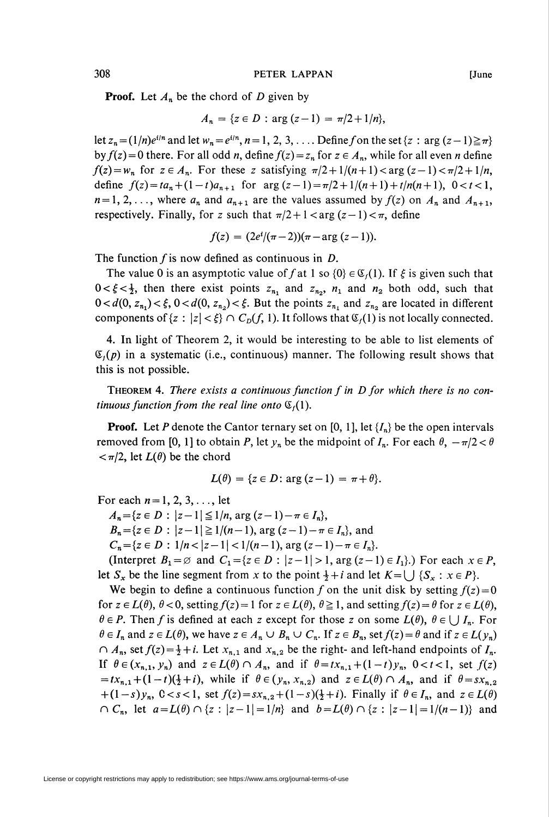**Proof.** Let  $A_n$  be the chord of D given by

$$
A_n = \{ z \in D : \arg(z - 1) = \pi/2 + 1/n \},\
$$

let  $z_n = (1/n)e^{i/n}$  and let  $w_n = e^{i/n}$ ,  $n=1, 2, 3, \ldots$  Define f on the set  $\{z : \arg (z - 1) \geq \pi\}$ by  $f(z) = 0$  there. For all odd n, define  $f(z) = z_n$  for  $z \in A_n$ , while for all even n define  $f(z) = w_n$  for  $z \in A_n$ . For these z satisfying  $\pi/2 + 1/(n+1) < \arg(z-1) < \pi/2 + 1/n$ , define  $f(z) = ta_n + (1-t)a_{n+1}$  for  $\arg((z-1)) = \frac{\pi}{2} + \frac{1}{(n+1) + t}{n(n+1)}$ ,  $0 < t < 1$ ,  $n=1, 2, \ldots$ , where  $a_n$  and  $a_{n+1}$  are the values assumed by  $f(z)$  on  $A_n$  and  $A_{n+1}$ , respectively. Finally, for z such that  $\pi/2 + 1 < \arg(z-1) < \pi$ , define

 $f(z) = (2e^{i}/(\pi-2))(\pi-\arg(z-1)).$ 

The function  $f$  is now defined as continuous in  $D$ .

The value 0 is an asymptotic value of f at 1 so  $\{0\} \in \mathfrak{C}_f(1)$ . If  $\xi$  is given such that  $0 < \xi < \frac{1}{2}$ , then there exist points  $z_{n_1}$  and  $z_{n_2}$ ,  $n_1$  and  $n_2$  both odd, such that  $0 < d(0, z_{n_1}) < \xi$ ,  $0 < d(0, z_{n_2}) < \xi$ . But the points  $z_{n_1}$  and  $z_{n_2}$  are located in different components of  $\{z : |z| < \xi\} \cap C_D(f, 1)$ . It follows that  $\mathfrak{C}_f(1)$  is not locally connected.

4. In light of Theorem 2, it would be interesting to be able to list elements of  $\mathfrak{C}_i(p)$  in a systematic (i.e., continuous) manner. The following result shows that this is not possible.

THEOREM 4. There exists a continuous function  $f$  in  $D$  for which there is no continuous function from the real line onto  $\mathfrak{C}_f(1)$ .

**Proof.** Let P denote the Cantor ternary set on [0, 1], let  $\{I_n\}$  be the open intervals removed from [0, 1] to obtain P, let  $y_n$  be the midpoint of  $I_n$ . For each  $\theta$ ,  $-\pi/2 < \theta$  $<\pi/2$ , let  $L(\theta)$  be the chord

$$
L(\theta) = \{z \in D : \arg(z - 1) = \pi + \theta\}.
$$

For each  $n=1, 2, 3, \ldots$ , let  $A_n = \{z \in D: |z-1| \leq 1/n, \arg (z-1)-\pi \in I_n \},\$  $B_n = \{z \in D : |z-1| \geq 1/(n-1), \arg (z-1)-\pi \in I_n\}$ , and  $C_n = \{z \in D : \frac{1}{n} < |z-1| < \frac{1}{n-1}, \arg (z-1)-\pi \in I_n\}.$ 

(Interpret  $B_1 = \emptyset$  and  $C_1 = \{z \in D : |z-1| > 1, \arg (z-1) \in I_1\}$ .) For each  $x \in P$ , let  $S_x$  be the line segment from x to the point  $\frac{1}{2} + i$  and let  $K = \bigcup \{S_x : x \in P\}$ .

We begin to define a continuous function f on the unit disk by setting  $f(z) = 0$ for  $z \in L(\theta)$ ,  $\theta < 0$ , setting  $f(z) = 1$  for  $z \in L(\theta)$ ,  $\theta \ge 1$ , and setting  $f(z) = \theta$  for  $z \in L(\theta)$ ,  $\theta \in P$ . Then f is defined at each z except for those z on some  $L(\theta)$ ,  $\theta \in \bigcup I_n$ . For  $\theta \in I_n$  and  $z \in L(\theta)$ , we have  $z \in A_n \cup B_n \cup C_n$ . If  $z \in B_n$ , set  $f(z) = \theta$  and if  $z \in L(\gamma_n)$  $\bigcap A_n$ , set  $f(z) = \frac{1}{2} + i$ . Let  $x_{n,1}$  and  $x_{n,2}$  be the right- and left-hand endpoints of  $I_n$ . If  $\theta \in (x_{n,1},y_n)$  and  $z \in L(\theta) \cap A_n$ , and if  $\theta = tx_{n,1} + (1-t)y_n$ ,  $0 < t < 1$ , set  $f(z)$  $= tx_{n,1} + (1-t)(\frac{1}{2}+i)$ , while if  $\theta \in (y_n, x_{n,2})$  and  $z \in L(\theta) \cap A_n$ , and if  $\theta = sx_{n,2}$  $+(1-s)y_n$ ,  $0 < s < 1$ , set  $f(z) = sx_{n,2} + (1-s)(\frac{1}{2}+i)$ . Finally if  $\theta \in I_n$ , and  $z \in L(\theta)$  $C_n$ , let  $a = L(\theta) \cap \{z : |z-1| = 1/n\}$  and  $b = L(\theta) \cap \{z : |z-1| = 1/(n-1)\}$  and

License or copyright restrictions may apply to redistribution; see https://www.ams.org/journal-terms-of-use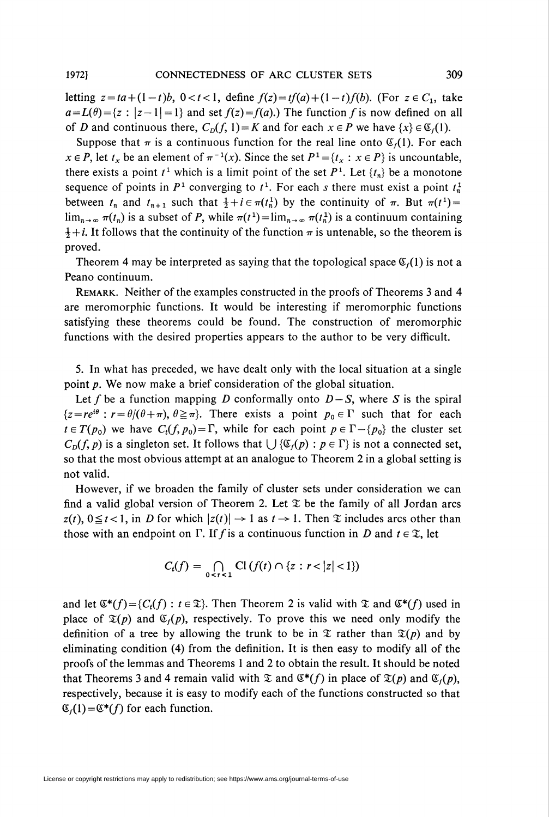letting  $z = ta + (1-t)b$ ,  $0 < t < 1$ , define  $f(z) = tf(a) + (1-t)f(b)$ . (For  $z \in C_1$ , take  $a=L(\theta) = \{z : |z-1|=1\}$  and set  $f(z) = f(a)$ .) The function f is now defined on all of D and continuous there,  $C_p(f, 1) = K$  and for each  $x \in P$  we have  $\{x\} \in \mathfrak{C}_f(1)$ .

Suppose that  $\pi$  is a continuous function for the real line onto  $\mathfrak{C}_r(1)$ . For each  $x \in P$ , let  $t_x$  be an element of  $\pi^{-1}(x)$ . Since the set  $P^1={t_x : x \in P}$  is uncountable, there exists a point  $t^1$  which is a limit point of the set  $P^1$ . Let  $\{t_n\}$  be a monotone sequence of points in  $P<sup>1</sup>$  converging to  $t<sup>1</sup>$ . For each s there must exist a point  $t<sub>n</sub><sup>1</sup>$ between  $t_n$  and  $t_{n+1}$  such that  $\frac{1}{2} + i \in \pi(t_n^1)$  by the continuity of  $\pi$ . But  $\pi(t^1) =$  $\lim_{n\to\infty} \pi(t_n)$  is a subset of P, while  $\pi(t^1) = \lim_{n\to\infty} \pi(t_n^1)$  is a continuum containing  $\frac{1}{2} + i$ . It follows that the continuity of the function  $\pi$  is untenable, so the theorem is proved.

Theorem 4 may be interpreted as saying that the topological space  $\mathfrak{C}_r(1)$  is not a Peano continuum.

Remark. Neither of the examples constructed in the proofs of Theorems 3 and 4 are meromorphic functions. It would be interesting if meromorphic functions satisfying these theorems could be found. The construction of meromorphic functions with the desired properties appears to the author to be very difficult.

5. In what has preceded, we have dealt only with the local situation at a single point p. We now make a brief consideration of the global situation.

Let f be a function mapping D conformally onto  $D-S$ , where S is the spiral  ${z = re^{i\theta} : r = \theta/(\theta + \pi), \theta \geq \pi}.$  There exists a point  $p_0 \in \Gamma$  such that for each  $t \in T(p_0)$  we have  $C_t(f, p_0) = \Gamma$ , while for each point  $p \in \Gamma - \{p_0\}$  the cluster set  $C_D(f, p)$  is a singleton set. It follows that  $\bigcup \{ \mathfrak{C}_f(p) : p \in \Gamma \}$  is not a connected set, so that the most obvious attempt at an analogue to Theorem 2 in a global setting is not valid.

However, if we broaden the family of cluster sets under consideration we can find a valid global version of Theorem 2. Let  $\mathfrak X$  be the family of all Jordan arcs  $z(t)$ ,  $0 \le t < 1$ , in D for which  $|z(t)| \to 1$  as  $t \to 1$ . Then  $\mathfrak X$  includes arcs other than those with an endpoint on  $\Gamma$ . If f is a continuous function in D and  $t \in \mathcal{X}$ , let

$$
C_t(f) = \bigcap_{0 \leq r < 1} \mathrm{Cl}\left(f(t) \cap \{z : r < |z| < 1\}\right)
$$

and let  $\mathfrak{E}^*(f) = \{C_t(f) : t \in \mathfrak{T}\}\$ . Then Theorem 2 is valid with  $\mathfrak{T}$  and  $\mathfrak{E}^*(f)$  used in place of  $\mathfrak{T}(p)$  and  $\mathfrak{C}_f(p)$ , respectively. To prove this we need only modify the definition of a tree by allowing the trunk to be in  $\mathfrak T$  rather than  $\mathfrak T(p)$  and by eliminating condition (4) from the definition. It is then easy to modify all of the proofs of the lemmas and Theorems 1 and 2 to obtain the result. It should be noted that Theorems 3 and 4 remain valid with  $\mathfrak X$  and  $\mathfrak G^*(f)$  in place of  $\mathfrak T(p)$  and  $\mathfrak G_f(p)$ , respectively, because it is easy to modify each of the functions constructed so that  $\mathfrak{C}_f(1) = \mathfrak{C}^*(f)$  for each function.